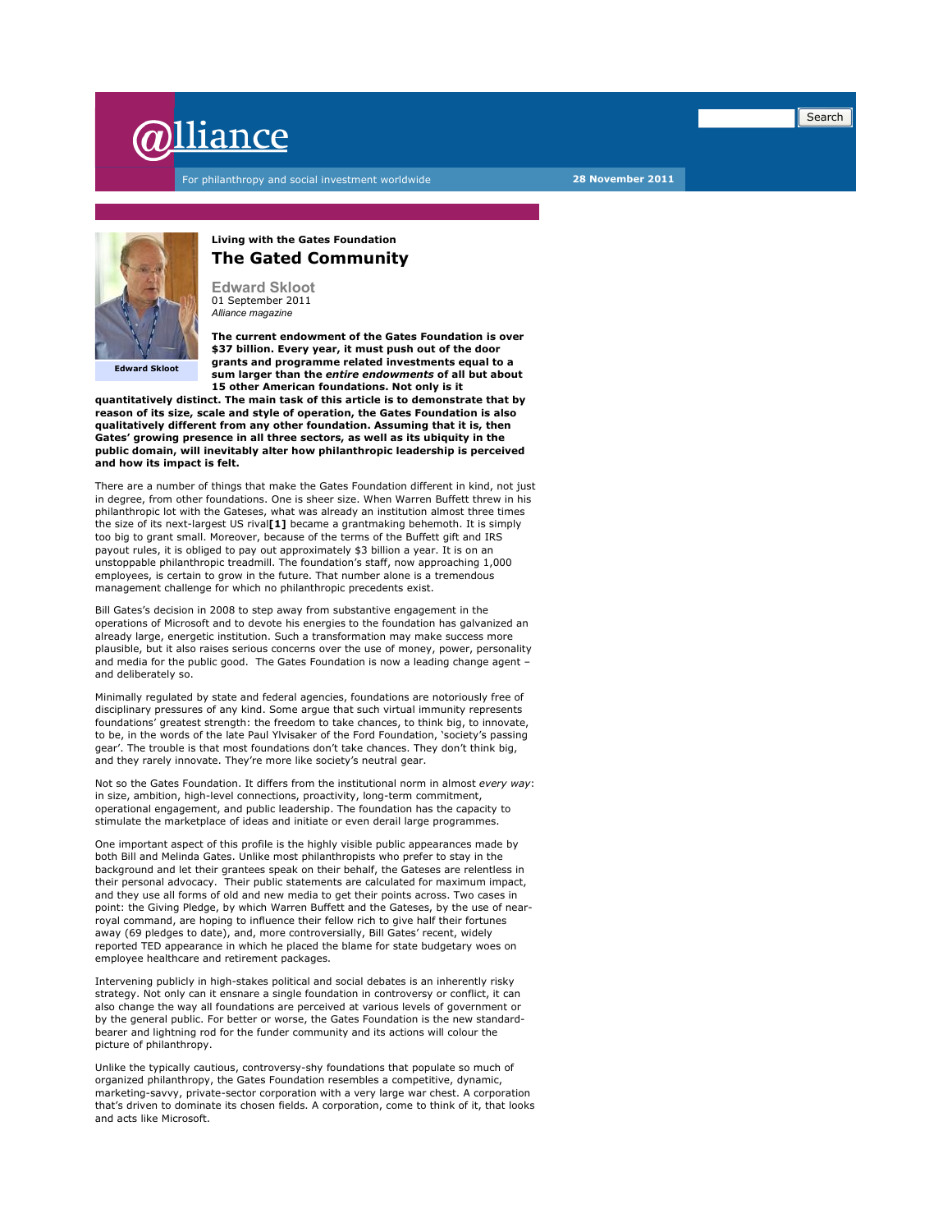

For philanthropy and social investment worldwide **28 November 2011** 



**Living with the Gates Foundation The Gated Community** 

**Edward Skloot**  01 September 2011 *Alliance magazine* 

**The current endowment of the Gates Foundation is over \$37 billion. Every year, it must push out of the door grants and programme related investments equal to a sum larger than the** *entire endowments* **of all but about 15 other American foundations. Not only is it** 

**quantitatively distinct. The main task of this article is to demonstrate that by reason of its size, scale and style of operation, the Gates Foundation is also qualitatively different from any other foundation. Assuming that it is, then Gates' growing presence in all three sectors, as well as its ubiquity in the public domain, will inevitably alter how philanthropic leadership is perceived and how its impact is felt.**

There are a number of things that make the Gates Foundation different in kind, not just in degree, from other foundations. One is sheer size. When Warren Buffett threw in his philanthropic lot with the Gateses, what was already an institution almost three times the size of its next-largest US rival**[1]** became a grantmaking behemoth. It is simply too big to grant small. Moreover, because of the terms of the Buffett gift and IRS payout rules, it is obliged to pay out approximately \$3 billion a year. It is on an unstoppable philanthropic treadmill. The foundation's staff, now approaching 1,000 employees, is certain to grow in the future. That number alone is a tremendous management challenge for which no philanthropic precedents exist.

Bill Gates's decision in 2008 to step away from substantive engagement in the operations of Microsoft and to devote his energies to the foundation has galvanized an already large, energetic institution. Such a transformation may make success more plausible, but it also raises serious concerns over the use of money, power, personality and media for the public good. The Gates Foundation is now a leading change agent – and deliberately so.

Minimally regulated by state and federal agencies, foundations are notoriously free of disciplinary pressures of any kind. Some argue that such virtual immunity represents foundations' greatest strength: the freedom to take chances, to think big, to innovate, to be, in the words of the late Paul Ylvisaker of the Ford Foundation, 'society's passing gear'. The trouble is that most foundations don't take chances. They don't think big, and they rarely innovate. They're more like society's neutral gear.

Not so the Gates Foundation. It differs from the institutional norm in almost *every way*: in size, ambition, high-level connections, proactivity, long-term commitment, operational engagement, and public leadership. The foundation has the capacity to stimulate the marketplace of ideas and initiate or even derail large programmes.

One important aspect of this profile is the highly visible public appearances made by both Bill and Melinda Gates. Unlike most philanthropists who prefer to stay in the background and let their grantees speak on their behalf, the Gateses are relentless in their personal advocacy. Their public statements are calculated for maximum impact, and they use all forms of old and new media to get their points across. Two cases in point: the Giving Pledge, by which Warren Buffett and the Gateses, by the use of nearroyal command, are hoping to influence their fellow rich to give half their fortunes away (69 pledges to date), and, more controversially, Bill Gates' recent, widely reported TED appearance in which he placed the blame for state budgetary woes on employee healthcare and retirement packages.

Intervening publicly in high-stakes political and social debates is an inherently risky strategy. Not only can it ensnare a single foundation in controversy or conflict, it can also change the way all foundations are perceived at various levels of government or by the general public. For better or worse, the Gates Foundation is the new standardbearer and lightning rod for the funder community and its actions will colour the picture of philanthropy.

Unlike the typically cautious, controversy-shy foundations that populate so much of organized philanthropy, the Gates Foundation resembles a competitive, dynamic, marketing-savvy, private-sector corporation with a very large war chest. A corporation that's driven to dominate its chosen fields. A corporation, come to think of it, that looks and acts like Microsoft.

Search

I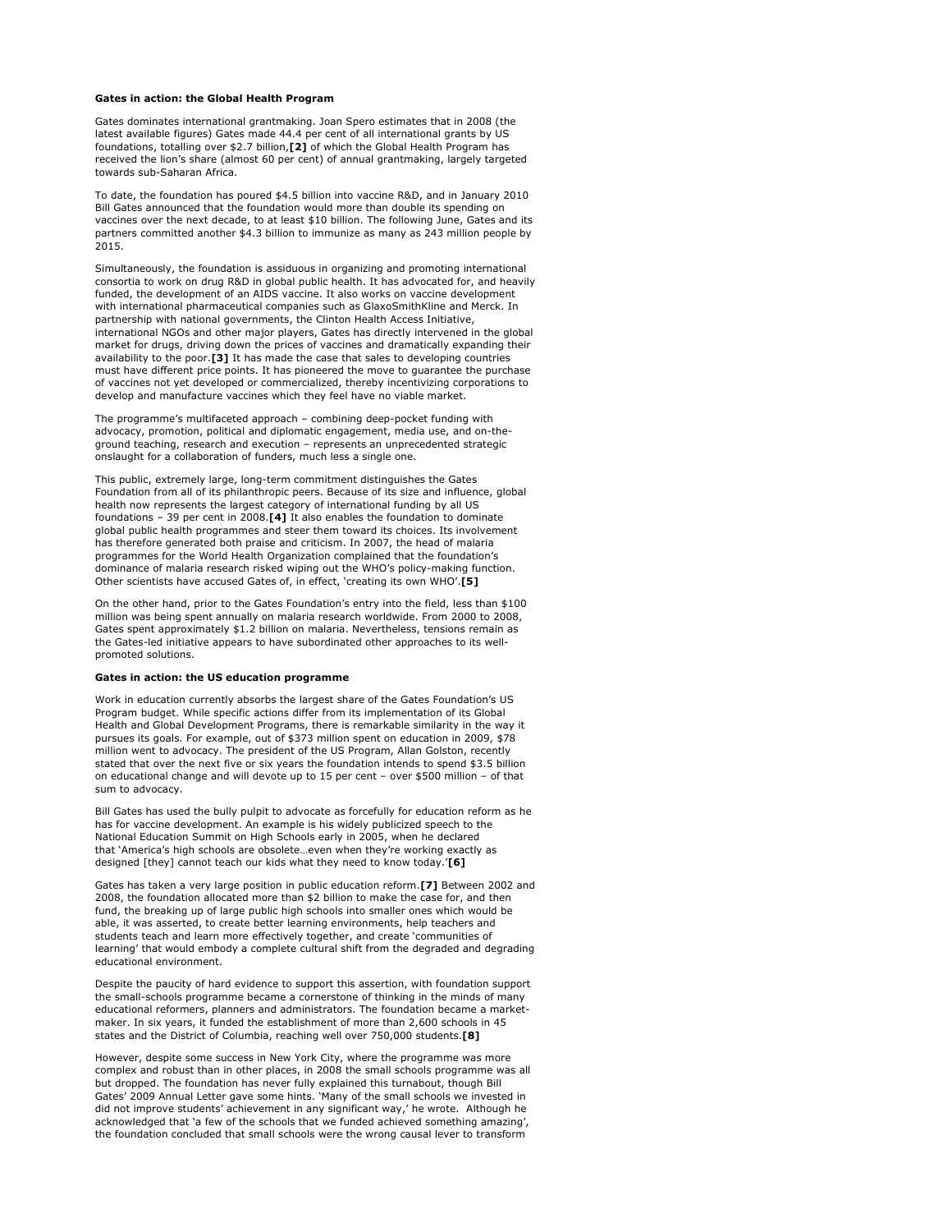#### **Gates in action: the Global Health Program**

Gates dominates international grantmaking. Joan Spero estimates that in 2008 (the latest available figures) Gates made 44.4 per cent of all international grants by US foundations, totalling over \$2.7 billion,**[2]** of which the Global Health Program has received the lion's share (almost 60 per cent) of annual grantmaking, largely targeted towards sub-Saharan Africa.

To date, the foundation has poured \$4.5 billion into vaccine R&D, and in January 2010 Bill Gates announced that the foundation would more than double its spending on vaccines over the next decade, to at least \$10 billion. The following June, Gates and its partners committed another \$4.3 billion to immunize as many as 243 million people by 2015.

Simultaneously, the foundation is assiduous in organizing and promoting international consortia to work on drug R&D in global public health. It has advocated for, and heavily funded, the development of an AIDS vaccine. It also works on vaccine development with international pharmaceutical companies such as GlaxoSmithKline and Merck. In partnership with national governments, the Clinton Health Access Initiative, international NGOs and other major players, Gates has directly intervened in the global market for drugs, driving down the prices of vaccines and dramatically expanding their availability to the poor.**[3]** It has made the case that sales to developing countries must have different price points. It has pioneered the move to guarantee the purchase of vaccines not yet developed or commercialized, thereby incentivizing corporations to develop and manufacture vaccines which they feel have no viable market.

The programme's multifaceted approach – combining deep-pocket funding with advocacy, promotion, political and diplomatic engagement, media use, and on-theground teaching, research and execution – represents an unprecedented strategic onslaught for a collaboration of funders, much less a single one.

This public, extremely large, long-term commitment distinguishes the Gates Foundation from all of its philanthropic peers. Because of its size and influence, global health now represents the largest category of international funding by all US foundations – 39 per cent in 2008.**[4]** It also enables the foundation to dominate global public health programmes and steer them toward its choices. Its involvement has therefore generated both praise and criticism. In 2007, the head of malaria programmes for the World Health Organization complained that the foundation's dominance of malaria research risked wiping out the WHO's policy-making function. Other scientists have accused Gates of, in effect, 'creating its own WHO'.**[5]** 

On the other hand, prior to the Gates Foundation's entry into the field, less than \$100 million was being spent annually on malaria research worldwide. From 2000 to 2008, Gates spent approximately \$1.2 billion on malaria. Nevertheless, tensions remain as the Gates-led initiative appears to have subordinated other approaches to its wellpromoted solutions.

### **Gates in action: the US education programme**

Work in education currently absorbs the largest share of the Gates Foundation's US Program budget. While specific actions differ from its implementation of its Global Health and Global Development Programs, there is remarkable similarity in the way it pursues its goals. For example, out of \$373 million spent on education in 2009, \$78 million went to advocacy. The president of the US Program, Allan Golston, recently stated that over the next five or six years the foundation intends to spend \$3.5 billion on educational change and will devote up to 15 per cent – over \$500 million – of that sum to advocacy.

Bill Gates has used the bully pulpit to advocate as forcefully for education reform as he has for vaccine development. An example is his widely publicized speech to the National Education Summit on High Schools early in 2005, when he declared that 'America's high schools are obsolete…even when they're working exactly as designed [they] cannot teach our kids what they need to know today.'**[6]**

Gates has taken a very large position in public education reform.**[7]** Between 2002 and 2008, the foundation allocated more than \$2 billion to make the case for, and then fund, the breaking up of large public high schools into smaller ones which would be able, it was asserted, to create better learning environments, help teachers and students teach and learn more effectively together, and create 'communities of learning' that would embody a complete cultural shift from the degraded and degrading educational environment.

Despite the paucity of hard evidence to support this assertion, with foundation support the small-schools programme became a cornerstone of thinking in the minds of many educational reformers, planners and administrators. The foundation became a marketmaker. In six years, it funded the establishment of more than 2,600 schools in 45 states and the District of Columbia, reaching well over 750,000 students.**[8]**

However, despite some success in New York City, where the programme was more complex and robust than in other places, in 2008 the small schools programme was all but dropped. The foundation has never fully explained this turnabout, though Bill Gates' 2009 Annual Letter gave some hints. 'Many of the small schools we invested in did not improve students' achievement in any significant way,' he wrote. Although he acknowledged that 'a few of the schools that we funded achieved something amazing', the foundation concluded that small schools were the wrong causal lever to transform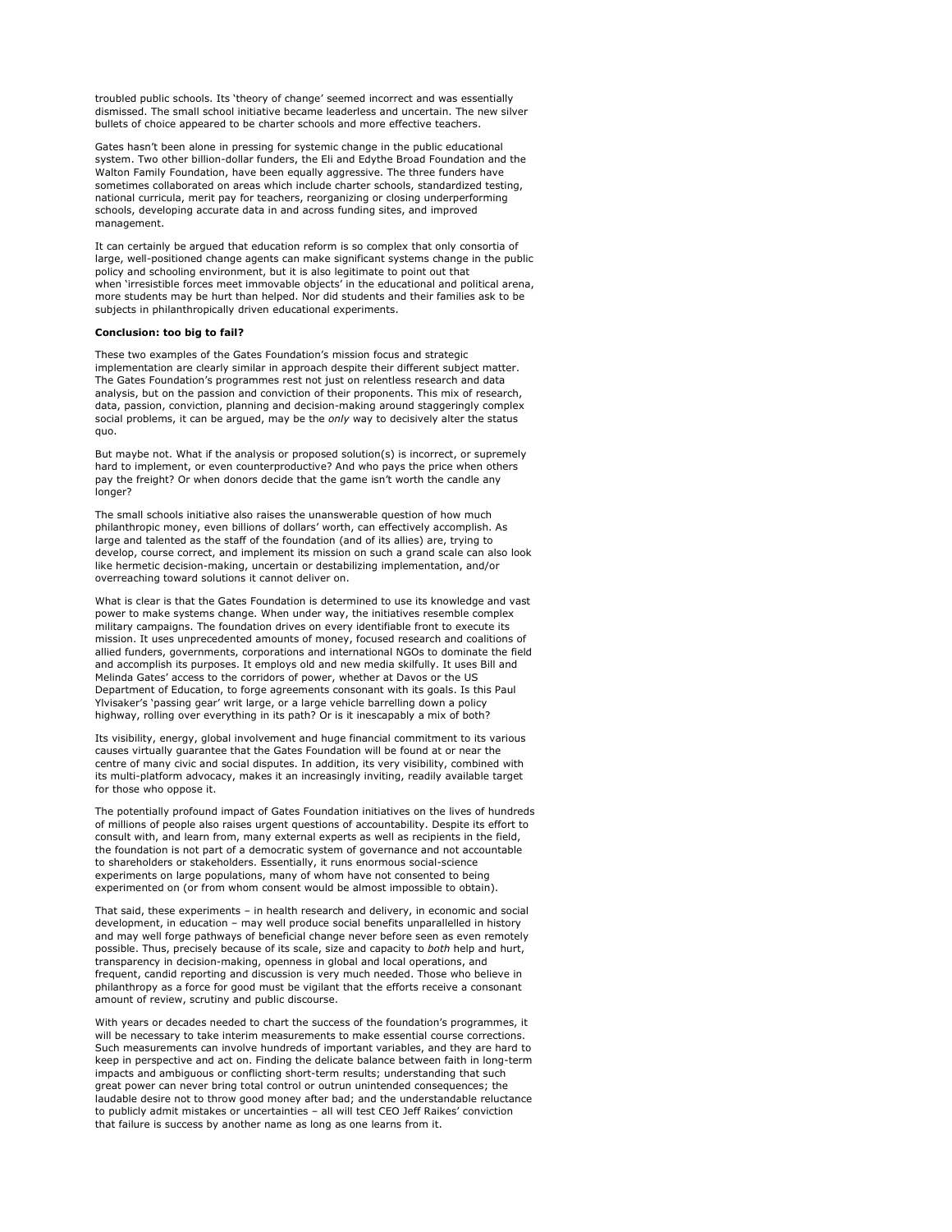troubled public schools. Its 'theory of change' seemed incorrect and was essentially dismissed. The small school initiative became leaderless and uncertain. The new silver bullets of choice appeared to be charter schools and more effective teachers.

Gates hasn't been alone in pressing for systemic change in the public educational system. Two other billion-dollar funders, the Eli and Edythe Broad Foundation and the Walton Family Foundation, have been equally aggressive. The three funders have sometimes collaborated on areas which include charter schools, standardized testing, national curricula, merit pay for teachers, reorganizing or closing underperforming schools, developing accurate data in and across funding sites, and improved management.

It can certainly be argued that education reform is so complex that only consortia of large, well-positioned change agents can make significant systems change in the public policy and schooling environment, but it is also legitimate to point out that when 'irresistible forces meet immovable objects' in the educational and political arena, more students may be hurt than helped. Nor did students and their families ask to be subjects in philanthropically driven educational experiments.

# **Conclusion: too big to fail?**

These two examples of the Gates Foundation's mission focus and strategic implementation are clearly similar in approach despite their different subject matter. The Gates Foundation's programmes rest not just on relentless research and data analysis, but on the passion and conviction of their proponents. This mix of research, data, passion, conviction, planning and decision-making around staggeringly complex social problems, it can be argued, may be the *only* way to decisively alter the status quo.

But maybe not. What if the analysis or proposed solution(s) is incorrect, or supremely hard to implement, or even counterproductive? And who pays the price when others pay the freight? Or when donors decide that the game isn't worth the candle any longer?

The small schools initiative also raises the unanswerable question of how much philanthropic money, even billions of dollars' worth, can effectively accomplish. As large and talented as the staff of the foundation (and of its allies) are, trying to develop, course correct, and implement its mission on such a grand scale can also look like hermetic decision-making, uncertain or destabilizing implementation, and/or overreaching toward solutions it cannot deliver on.

What is clear is that the Gates Foundation is determined to use its knowledge and vast power to make systems change. When under way, the initiatives resemble complex military campaigns. The foundation drives on every identifiable front to execute its mission. It uses unprecedented amounts of money, focused research and coalitions of allied funders, governments, corporations and international NGOs to dominate the field and accomplish its purposes. It employs old and new media skilfully. It uses Bill and Melinda Gates' access to the corridors of power, whether at Davos or the US Department of Education, to forge agreements consonant with its goals. Is this Paul Ylvisaker's 'passing gear' writ large, or a large vehicle barrelling down a policy highway, rolling over everything in its path? Or is it inescapably a mix of both?

Its visibility, energy, global involvement and huge financial commitment to its various causes virtually guarantee that the Gates Foundation will be found at or near the centre of many civic and social disputes. In addition, its very visibility, combined with its multi-platform advocacy, makes it an increasingly inviting, readily available target for those who oppose it.

The potentially profound impact of Gates Foundation initiatives on the lives of hundreds of millions of people also raises urgent questions of accountability. Despite its effort to consult with, and learn from, many external experts as well as recipients in the field, the foundation is not part of a democratic system of governance and not accountable to shareholders or stakeholders. Essentially, it runs enormous social-science experiments on large populations, many of whom have not consented to being experimented on (or from whom consent would be almost impossible to obtain).

That said, these experiments – in health research and delivery, in economic and social development, in education – may well produce social benefits unparallelled in history and may well forge pathways of beneficial change never before seen as even remotely possible. Thus, precisely because of its scale, size and capacity to *both* help and hurt, transparency in decision-making, openness in global and local operations, and frequent, candid reporting and discussion is very much needed. Those who believe in philanthropy as a force for good must be vigilant that the efforts receive a consonant amount of review, scrutiny and public discourse.

With years or decades needed to chart the success of the foundation's programmes, it will be necessary to take interim measurements to make essential course corrections. Such measurements can involve hundreds of important variables, and they are hard to keep in perspective and act on. Finding the delicate balance between faith in long-term impacts and ambiguous or conflicting short-term results; understanding that such great power can never bring total control or outrun unintended consequences; the laudable desire not to throw good money after bad; and the understandable reluctance to publicly admit mistakes or uncertainties – all will test CEO Jeff Raikes' conviction that failure is success by another name as long as one learns from it.